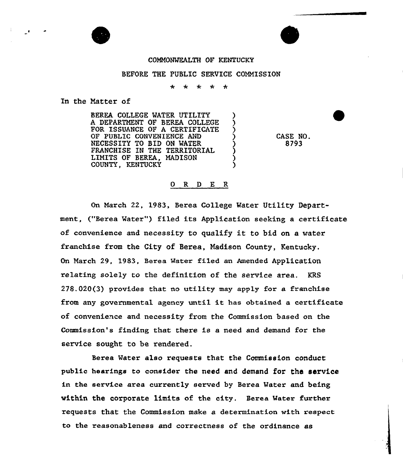## COMMONMEALTH OF KENTUCKY

## BEFORE THE PUBLIC SERVICE COMMISSION

 $\mathbf{d}_\mathbf{c}$  $\mathbf{r}$  $\mathbf{r}$  $\star$ 

In the Matter of

BEREA. COLLEGE MATER UTILITY A DEPARTMENT OF BEREA COLLEGE FOR ISSUANCE OF A CERTIFICATE OF PUBLIC CONVENIENCE AND NECESSITY TO BID ON MATER FRANCHISE IN THE TERRITORIAL LIMITS OF BEREA, MADISON COUNTY, KENTUCKY

CASE NO. 8793

## 0 R <sup>D</sup> E R

On March 22, 1983, Berea College Mater Utility Department, ("Berea Water") filed its Application seeking a certificate of convenience and necessity to qualify it to bid on <sup>a</sup> vater franchise from the City of Berea, Madison County, Kentucky. On March 29, 1983, Berea Matex filed an Amended Application xelating solely to the definition of the service area. KRS 278.020(3} provides that no utility may apply for a franchise from any governmental agency unti1 it has obtained <sup>a</sup> certificate of convenience and necessity from the Commission based on the Commission's finding that there is a need and demand for the service sought to be rendered.

Berea Mater also requests that the Commission conduct public hearings to consider the need and demand for the service in the service area currently served by Berea Water and being within the corporate limits of the city. Berea Mater further requests that the Commission make a determination with respect to the reasonableness and correctness of the ordinance as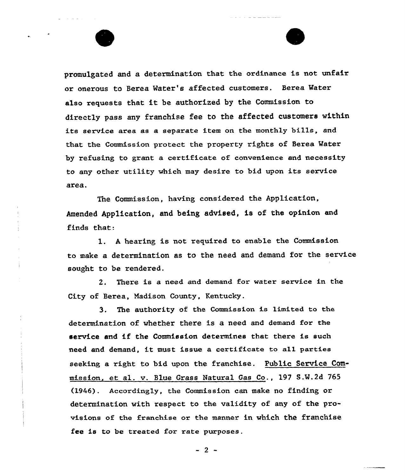promulgated and a determination that the ordinance is not unfair or onerous to Berea Water's affected customers. Berea Water also requests that it be authorized by the Commission to directly pass any franchise fee to the affected customers within its service area as a separate item on the monthly bills, and that the Commission protect the property rights of Berea Water by refusing to grant a certificate of convenience and necessity to any other utility which may desire to bid upon its service area,

The Commission, having considered the Application, Amended Application, and being advised, is of the opinion and finds that:

1. <sup>A</sup> hearing is not required to enable the Commission to make a determination as to the need and demand for the service sought to be rendered.

2. There is a need and demand for water service in the City of Berea, Madison County, Kentucky.

3. The authority of the Commission is limited to the. determination of whether there is a need and demand for the service and Lf the Commission determines that there is such need and demand, it must issue <sup>a</sup> certificate to a11 parties seeking a right to bid upon the franchise. Public Service Commission. et al. v. Blue Grass Natural Gas Co., 197 S.W.2d 765 (1946). Accordingly, the Commission can make no finding or determination with respect to the validity of any of the provisions of the franchise or the manner in which the franchise fee is to be treated for rate purposes.

 $-2$  -